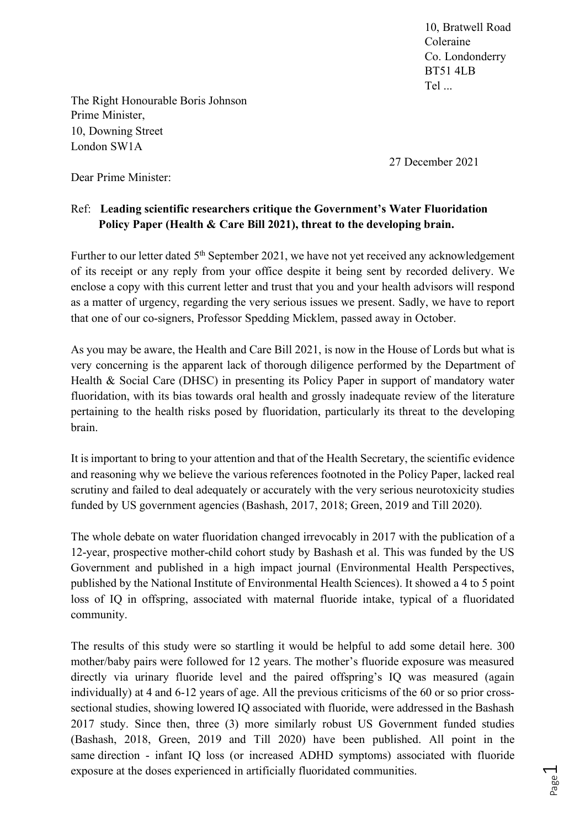10, Bratwell Road Coleraine Co. Londonderry BT51 4LB Tel ...

The Right Honourable Boris Johnson Prime Minister, 10, Downing Street London SW1A

27 December 2021

Dear Prime Minister:

## Ref: **Leading scientific researchers critique the Government's Water Fluoridation Policy Paper (Health & Care Bill 2021), threat to the developing brain.**

Further to our letter dated  $5<sup>th</sup>$  September 2021, we have not yet received any acknowledgement of its receipt or any reply from your office despite it being sent by recorded delivery. We enclose a copy with this current letter and trust that you and your health advisors will respond as a matter of urgency, regarding the very serious issues we present. Sadly, we have to report that one of our co-signers, Professor Spedding Micklem, passed away in October.

As you may be aware, the Health and Care Bill 2021, is now in the House of Lords but what is very concerning is the apparent lack of thorough diligence performed by the Department of Health & Social Care (DHSC) in presenting its Policy Paper in support of mandatory water fluoridation, with its bias towards oral health and grossly inadequate review of the literature pertaining to the health risks posed by fluoridation, particularly its threat to the developing brain.

It is important to bring to your attention and that of the Health Secretary, the scientific evidence and reasoning why we believe the various references footnoted in the Policy Paper, lacked real scrutiny and failed to deal adequately or accurately with the very serious neurotoxicity studies funded by US government agencies (Bashash, 2017, 2018; Green, 2019 and Till 2020).

The whole debate on water fluoridation changed irrevocably in 2017 with the publication of a 12-year, prospective mother-child cohort study by Bashash et al. This was funded by the US Government and published in a high impact journal (Environmental Health Perspectives, published by the National Institute of Environmental Health Sciences). It showed a 4 to 5 point loss of IQ in offspring, associated with maternal fluoride intake, typical of a fluoridated community.

The results of this study were so startling it would be helpful to add some detail here. 300 mother/baby pairs were followed for 12 years. The mother's fluoride exposure was measured directly via urinary fluoride level and the paired offspring's IQ was measured (again individually) at 4 and 6-12 years of age. All the previous criticisms of the 60 or so prior crosssectional studies, showing lowered IQ associated with fluoride, were addressed in the Bashash 2017 study. Since then, three (3) more similarly robust US Government funded studies (Bashash, 2018, Green, 2019 and Till 2020) have been published. All point in the same direction - infant IQ loss (or increased ADHD symptoms) associated with fluoride exposure at the doses experienced in artificially fluoridated communities.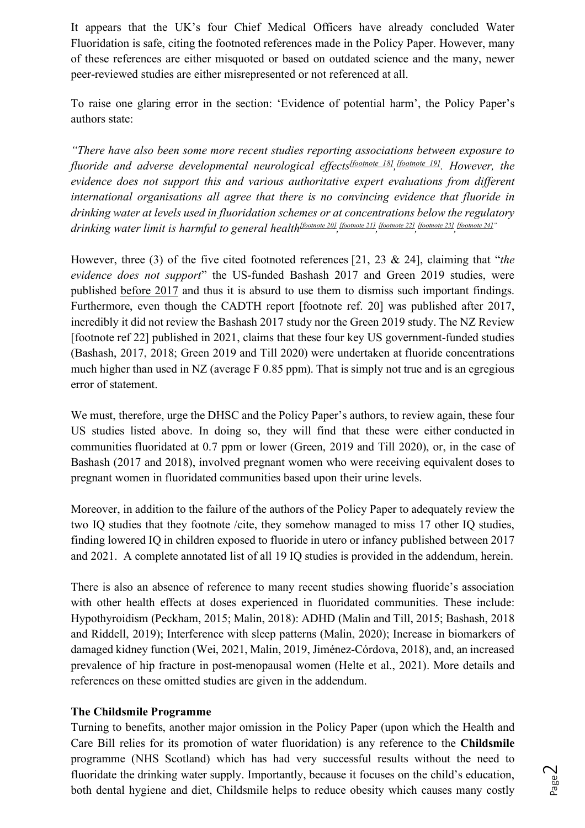It appears that the UK's four Chief Medical Officers have already concluded Water Fluoridation is safe, citing the footnoted references made in the Policy Paper. However, many of these references are either misquoted or based on outdated science and the many, newer peer-reviewed studies are either misrepresented or not referenced at all.

To raise one glaring error in the section: 'Evidence of potential harm', the Policy Paper's authors state:

*"There have also been some more recent studies reporting associations between exposure to fluoride and adverse developmental neurological effects[footnote 18], [footnote 19]. However, the evidence does not support this and various authoritative expert evaluations from different international organisations all agree that there is no convincing evidence that fluoride in drinking water at levels used in fluoridation schemes or at concentrations below the regulatory drinking water limit is harmful to general health[footnote 20], [footnote 21], [footnote 22], [footnote 23], [footnote 24]"*

However, three (3) of the five cited footnoted references [21, 23 & 24], claiming that "*the evidence does not support*" the US-funded Bashash 2017 and Green 2019 studies, were published before 2017 and thus it is absurd to use them to dismiss such important findings. Furthermore, even though the CADTH report [footnote ref. 20] was published after 2017, incredibly it did not review the Bashash 2017 study nor the Green 2019 study. The NZ Review [footnote ref 22] published in 2021, claims that these four key US government-funded studies (Bashash, 2017, 2018; Green 2019 and Till 2020) were undertaken at fluoride concentrations much higher than used in NZ (average F 0.85 ppm). That is simply not true and is an egregious error of statement.

We must, therefore, urge the DHSC and the Policy Paper's authors, to review again, these four US studies listed above. In doing so, they will find that these were either conducted in communities fluoridated at 0.7 ppm or lower (Green, 2019 and Till 2020), or, in the case of Bashash (2017 and 2018), involved pregnant women who were receiving equivalent doses to pregnant women in fluoridated communities based upon their urine levels.

Moreover, in addition to the failure of the authors of the Policy Paper to adequately review the two IQ studies that they footnote /cite, they somehow managed to miss 17 other IQ studies, finding lowered IQ in children exposed to fluoride in utero or infancy published between 2017 and 2021. A complete annotated list of all 19 IQ studies is provided in the addendum, herein.

There is also an absence of reference to many recent studies showing fluoride's association with other health effects at doses experienced in fluoridated communities. These include: Hypothyroidism (Peckham, 2015; Malin, 2018): ADHD (Malin and Till, 2015; Bashash, 2018 and Riddell, 2019); Interference with sleep patterns (Malin, 2020); Increase in biomarkers of damaged kidney function (Wei, 2021, Malin, 2019, Jiménez-Córdova, 2018), and, an increased prevalence of hip fracture in post-menopausal women (Helte et al., 2021). More details and references on these omitted studies are given in the addendum.

#### **The Childsmile Programme**

Turning to benefits, another major omission in the Policy Paper (upon which the Health and Care Bill relies for its promotion of water fluoridation) is any reference to the **Childsmile** programme (NHS Scotland) which has had very successful results without the need to fluoridate the drinking water supply. Importantly, because it focuses on the child's education, both dental hygiene and diet, Childsmile helps to reduce obesity which causes many costly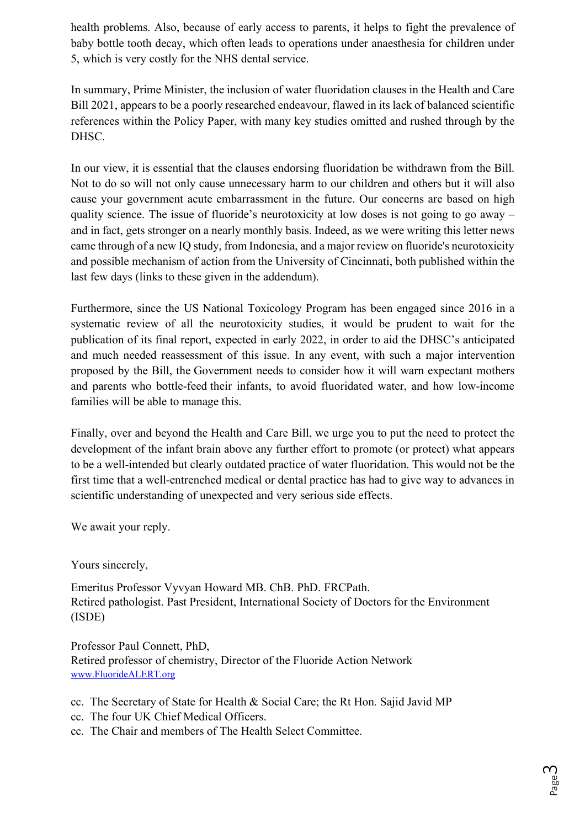health problems. Also, because of early access to parents, it helps to fight the prevalence of baby bottle tooth decay, which often leads to operations under anaesthesia for children under 5, which is very costly for the NHS dental service.

In summary, Prime Minister, the inclusion of water fluoridation clauses in the Health and Care Bill 2021, appears to be a poorly researched endeavour, flawed in its lack of balanced scientific references within the Policy Paper, with many key studies omitted and rushed through by the DHSC.

In our view, it is essential that the clauses endorsing fluoridation be withdrawn from the Bill. Not to do so will not only cause unnecessary harm to our children and others but it will also cause your government acute embarrassment in the future. Our concerns are based on high quality science. The issue of fluoride's neurotoxicity at low doses is not going to go away – and in fact, gets stronger on a nearly monthly basis. Indeed, as we were writing this letter news came through of a new IQ study, from Indonesia, and a major review on fluoride's neurotoxicity and possible mechanism of action from the University of Cincinnati, both published within the last few days (links to these given in the addendum).

Furthermore, since the US National Toxicology Program has been engaged since 2016 in a systematic review of all the neurotoxicity studies, it would be prudent to wait for the publication of its final report, expected in early 2022, in order to aid the DHSC's anticipated and much needed reassessment of this issue. In any event, with such a major intervention proposed by the Bill, the Government needs to consider how it will warn expectant mothers and parents who bottle-feed their infants, to avoid fluoridated water, and how low-income families will be able to manage this.

Finally, over and beyond the Health and Care Bill, we urge you to put the need to protect the development of the infant brain above any further effort to promote (or protect) what appears to be a well-intended but clearly outdated practice of water fluoridation. This would not be the first time that a well-entrenched medical or dental practice has had to give way to advances in scientific understanding of unexpected and very serious side effects.

We await your reply.

Yours sincerely,

Emeritus Professor Vyvyan Howard MB. ChB. PhD. FRCPath. Retired pathologist. Past President, International Society of Doctors for the Environment (ISDE)

Professor Paul Connett, PhD, Retired professor of chemistry, Director of the Fluoride Action Network www.FluorideALERT.org

cc. The Secretary of State for Health & Social Care; the Rt Hon. Sajid Javid MP

- cc. The four UK Chief Medical Officers.
- cc. The Chair and members of The Health Select Committee.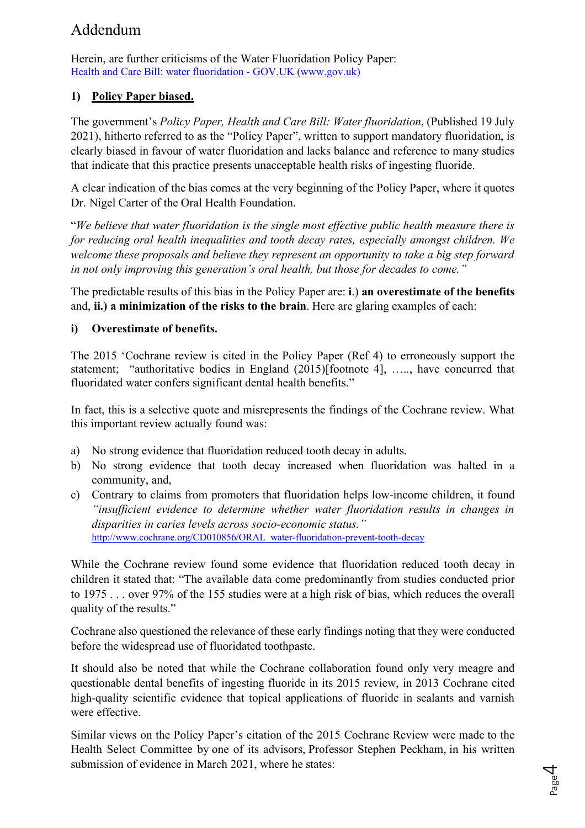# Addendum

Herein, are further criticisms of the Water Fluoridation Policy Paper: Health and Care Bill: water fluoridation - GOV.UK (www.gov.uk)

# **1) Policy Paper biased.**

The government's *Policy Paper, Health and Care Bill: Water fluoridation*, (Published 19 July 2021), hitherto referred to as the "Policy Paper", written to support mandatory fluoridation, is clearly biased in favour of water fluoridation and lacks balance and reference to many studies that indicate that this practice presents unacceptable health risks of ingesting fluoride.

A clear indication of the bias comes at the very beginning of the Policy Paper, where it quotes Dr. Nigel Carter of the Oral Health Foundation.

"*We believe that water fluoridation is the single most effective public health measure there is for reducing oral health inequalities and tooth decay rates, especially amongst children. We welcome these proposals and believe they represent an opportunity to take a big step forward in not only improving this generation's oral health, but those for decades to come."*

The predictable results of this bias in the Policy Paper are: **i**.) **an overestimate of the benefits**  and, **ii.) a minimization of the risks to the brain**. Here are glaring examples of each:

### **i) Overestimate of benefits.**

The 2015 'Cochrane review is cited in the Policy Paper (Ref 4) to erroneously support the statement; "authoritative bodies in England (2015)[footnote 4], ….., have concurred that fluoridated water confers significant dental health benefits."

In fact, this is a selective quote and misrepresents the findings of the Cochrane review. What this important review actually found was:

- a) No strong evidence that fluoridation reduced tooth decay in adults.
- b) No strong evidence that tooth decay increased when fluoridation was halted in a community, and,
- c) Contrary to claims from promoters that fluoridation helps low-income children, it found *"insufficient evidence to determine whether water fluoridation results in changes in disparities in caries levels across socio-economic status."* http://www.cochrane.org/CD010856/ORAL\_water-fluoridation-prevent-tooth-decay

While the Cochrane review found some evidence that fluoridation reduced tooth decay in children it stated that: "The available data come predominantly from studies conducted prior to 1975 . . . over 97% of the 155 studies were at a high risk of bias, which reduces the overall quality of the results."

Cochrane also questioned the relevance of these early findings noting that they were conducted before the widespread use of fluoridated toothpaste.

It should also be noted that while the Cochrane collaboration found only very meagre and questionable dental benefits of ingesting fluoride in its 2015 review, in 2013 Cochrane cited high-quality scientific evidence that topical applications of fluoride in sealants and varnish were effective.

Similar views on the Policy Paper's citation of the 2015 Cochrane Review were made to the Health Select Committee by one of its advisors, Professor Stephen Peckham, in his written submission of evidence in March 2021, where he states: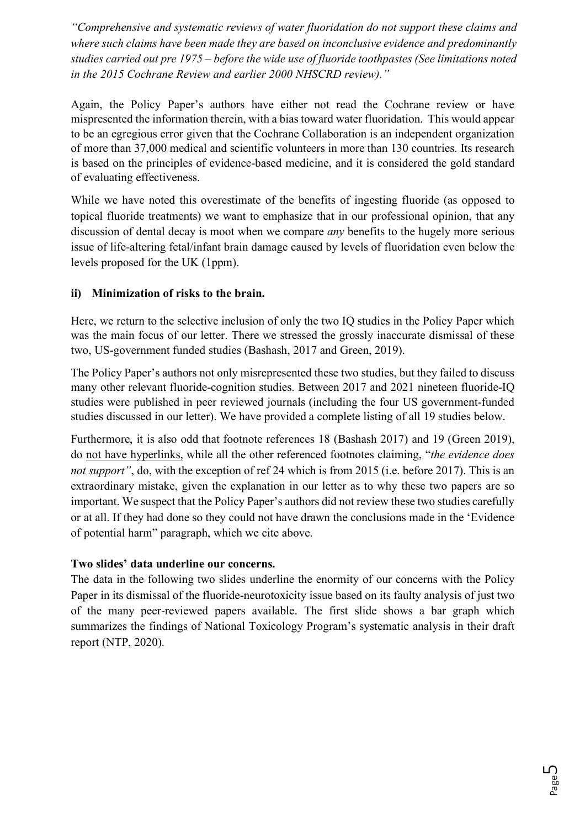*"Comprehensive and systematic reviews of water fluoridation do not support these claims and where such claims have been made they are based on inconclusive evidence and predominantly studies carried out pre 1975 – before the wide use of fluoride toothpastes (See limitations noted in the 2015 Cochrane Review and earlier 2000 NHSCRD review)."*

Again, the Policy Paper's authors have either not read the Cochrane review or have mispresented the information therein, with a bias toward water fluoridation. This would appear to be an egregious error given that the Cochrane Collaboration is an independent organization of more than 37,000 medical and scientific volunteers in more than 130 countries. Its research is based on the principles of evidence-based medicine, and it is considered the gold standard of evaluating effectiveness.

While we have noted this overestimate of the benefits of ingesting fluoride (as opposed to topical fluoride treatments) we want to emphasize that in our professional opinion, that any discussion of dental decay is moot when we compare *any* benefits to the hugely more serious issue of life-altering fetal/infant brain damage caused by levels of fluoridation even below the levels proposed for the UK (1ppm).

# **ii) Minimization of risks to the brain.**

Here, we return to the selective inclusion of only the two IQ studies in the Policy Paper which was the main focus of our letter. There we stressed the grossly inaccurate dismissal of these two, US-government funded studies (Bashash, 2017 and Green, 2019).

The Policy Paper's authors not only misrepresented these two studies, but they failed to discuss many other relevant fluoride-cognition studies. Between 2017 and 2021 nineteen fluoride-IQ studies were published in peer reviewed journals (including the four US government-funded studies discussed in our letter). We have provided a complete listing of all 19 studies below.

Furthermore, it is also odd that footnote references 18 (Bashash 2017) and 19 (Green 2019), do not have hyperlinks, while all the other referenced footnotes claiming, "*the evidence does not support"*, do, with the exception of ref 24 which is from 2015 (i.e. before 2017). This is an extraordinary mistake, given the explanation in our letter as to why these two papers are so important. We suspect that the Policy Paper's authors did not review these two studies carefully or at all. If they had done so they could not have drawn the conclusions made in the 'Evidence of potential harm" paragraph, which we cite above.

# **Two slides' data underline our concerns.**

The data in the following two slides underline the enormity of our concerns with the Policy Paper in its dismissal of the fluoride-neurotoxicity issue based on its faulty analysis of just two of the many peer-reviewed papers available. The first slide shows a bar graph which summarizes the findings of National Toxicology Program's systematic analysis in their draft report (NTP, 2020).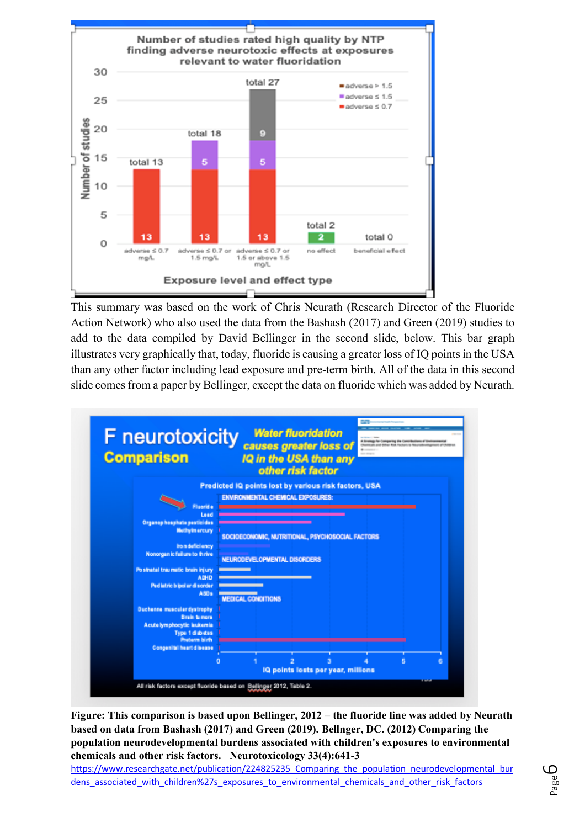

This summary was based on the work of Chris Neurath (Research Director of the Fluoride Action Network) who also used the data from the Bashash (2017) and Green (2019) studies to add to the data compiled by David Bellinger in the second slide, below. This bar graph illustrates very graphically that, today, fluoride is causing a greater loss of IQ points in the USA than any other factor including lead exposure and pre-term birth. All of the data in this second slide comes from a paper by Bellinger, except the data on fluoride which was added by Neurath.

| <b>Comparison</b>                                                                                                                                                                                                              |                                                                                                                                                    | IQ in the USA than any<br>other risk factor |  |  |
|--------------------------------------------------------------------------------------------------------------------------------------------------------------------------------------------------------------------------------|----------------------------------------------------------------------------------------------------------------------------------------------------|---------------------------------------------|--|--|
|                                                                                                                                                                                                                                | Predicted IQ points lost by various risk factors, USA                                                                                              |                                             |  |  |
| <b>Fluorida</b><br>Lead<br>Organophosphate pesticides<br><b>Methylmercury</b><br>Iron deficiency<br>Nonorgan ic failure to thrive<br>Postnatal traumatic brain injury<br><b>ADHD</b><br>Ped latric b lpol ar di sorder<br>A80s | ENVIRONMENTAL CHEMICAL EXPOSURES:<br>SOCIOECONOMIC, NUTRITIONAL, PSYCHOSOCIAL FACTORS<br>NEURODEVELOPNENTAL DISORDERS<br><b>MEDICAL CONDITIONS</b> |                                             |  |  |
| <b>Duchanne muscular dystrophy</b><br><b>Brain tumors</b><br>Acute lymphocytic leukemia<br>Type 1 diabities                                                                                                                    |                                                                                                                                                    |                                             |  |  |
| <b>Produces birth</b>                                                                                                                                                                                                          |                                                                                                                                                    |                                             |  |  |

**Figure: This comparison is based upon Bellinger, 2012 – the fluoride line was added by Neurath based on data from Bashash (2017) and Green (2019). Bellnger, DC. (2012) Comparing the population neurodevelopmental burdens associated with children's exposures to environmental chemicals and other risk factors. Neurotoxicology 33(4):641-3**

https://www.researchgate.net/publication/224825235 Comparing the population neurodevelopmental bur dens associated with children%27s exposures to environmental chemicals and other risk factors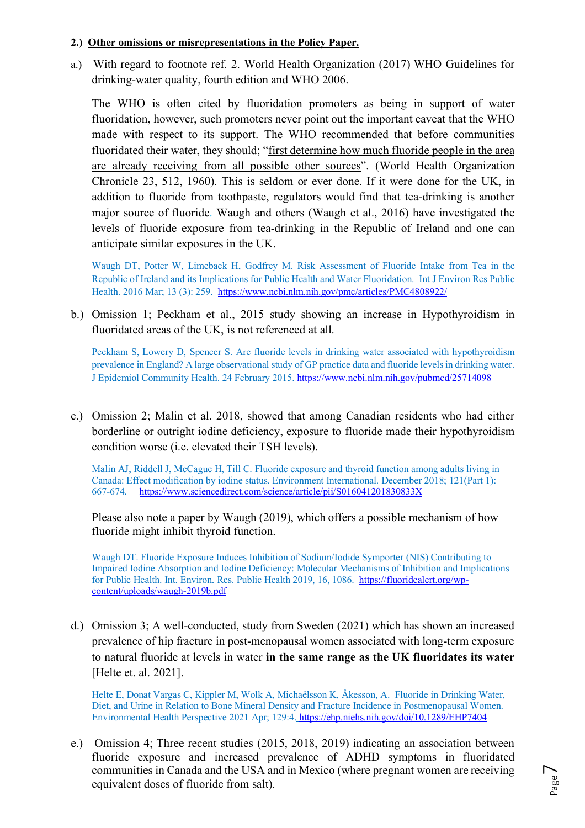#### **2.) Other omissions or misrepresentations in the Policy Paper.**

a.) With regard to footnote ref. 2. World Health Organization (2017) WHO Guidelines for drinking-water quality, fourth edition and WHO 2006.

The WHO is often cited by fluoridation promoters as being in support of water fluoridation, however, such promoters never point out the important caveat that the WHO made with respect to its support. The WHO recommended that before communities fluoridated their water, they should; "first determine how much fluoride people in the area are already receiving from all possible other sources". (World Health Organization Chronicle 23, 512, 1960). This is seldom or ever done. If it were done for the UK, in addition to fluoride from toothpaste, regulators would find that tea-drinking is another major source of fluoride. Waugh and others (Waugh et al., 2016) have investigated the levels of fluoride exposure from tea-drinking in the Republic of Ireland and one can anticipate similar exposures in the UK.

Waugh DT, Potter W, Limeback H, Godfrey M. Risk Assessment of Fluoride Intake from Tea in the Republic of Ireland and its Implications for Public Health and Water Fluoridation. Int J Environ Res Public Health. 2016 Mar; 13 (3): 259. https://www.ncbi.nlm.nih.gov/pmc/articles/PMC4808922/

b.) Omission 1; Peckham et al., 2015 study showing an increase in Hypothyroidism in fluoridated areas of the UK, is not referenced at all.

Peckham S, Lowery D, Spencer S. Are fluoride levels in drinking water associated with hypothyroidism prevalence in England? A large observational study of GP practice data and fluoride levels in drinking water. J Epidemiol Community Health. 24 February 2015. https://www.ncbi.nlm.nih.gov/pubmed/25714098

c.) Omission 2; Malin et al. 2018, showed that among Canadian residents who had either borderline or outright iodine deficiency, exposure to fluoride made their hypothyroidism condition worse (i.e. elevated their TSH levels).

Malin AJ, Riddell J, McCague H, Till C. Fluoride exposure and thyroid function among adults living in Canada: Effect modification by iodine status. Environment International. December 2018; 121(Part 1): 667-674. https://www.sciencedirect.com/science/article/pii/S016041201830833X

Please also note a paper by Waugh (2019), which offers a possible mechanism of how fluoride might inhibit thyroid function.

Waugh DT. Fluoride Exposure Induces Inhibition of Sodium/Iodide Symporter (NIS) Contributing to Impaired Iodine Absorption and Iodine Deficiency: Molecular Mechanisms of Inhibition and Implications for Public Health. Int. Environ. Res. Public Health 2019, 16, 1086. https://fluoridealert.org/wpcontent/uploads/waugh-2019b.pdf

d.) Omission 3; A well-conducted, study from Sweden (2021) which has shown an increased prevalence of hip fracture in post-menopausal women associated with long-term exposure to natural fluoride at levels in water **in the same range as the UK fluoridates its water**  [Helte et. al. 2021].

Helte E, Donat Vargas C, Kippler M, Wolk A, Michaëlsson K, Åkesson, A. Fluoride in Drinking Water, Diet, and Urine in Relation to Bone Mineral Density and Fracture Incidence in Postmenopausal Women. Environmental Health Perspective 2021 Apr; 129:4. https://ehp.niehs.nih.gov/doi/10.1289/EHP7404

e.) Omission 4; Three recent studies (2015, 2018, 2019) indicating an association between fluoride exposure and increased prevalence of ADHD symptoms in fluoridated communities in Canada and the USA and in Mexico (where pregnant women are receiving equivalent doses of fluoride from salt).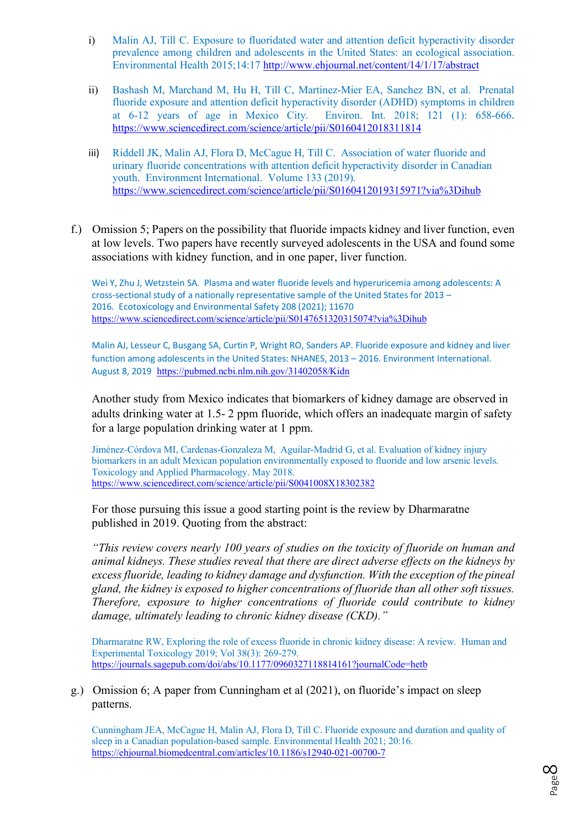- i) Malin AJ, Till C. Exposure to fluoridated water and attention deficit hyperactivity disorder prevalence among children and adolescents in the United States: an ecological association. Environmental Health 2015;14:17 http://www.ehjournal.net/content/14/1/17/abstract
- ii) Bashash M, Marchand M, Hu H, Till C, Martinez-Mier EA, Sanchez BN, et al. Prenatal fluoride exposure and attention deficit hyperactivity disorder (ADHD) symptoms in children at 6-12 years of age in Mexico City. Environ. Int. 2018; 121 (1): 658-666. https://www.sciencedirect.com/science/article/pii/S0160412018311814
- iii) Riddell JK, Malin AJ, Flora D, McCague H, Till C. Association of water fluoride and urinary fluoride concentrations with attention deficit hyperactivity disorder in Canadian youth. Environment International. Volume 133 (2019). https://www.sciencedirect.com/science/article/pii/S0160412019315971?via%3Dihub
- f.) Omission 5; Papers on the possibility that fluoride impacts kidney and liver function, even at low levels. Two papers have recently surveyed adolescents in the USA and found some associations with kidney function, and in one paper, liver function.

Wei Y, Zhu J, Wetzstein SA. Plasma and water fluoride levels and hyperuricemia among adolescents: A cross-sectional study of a nationally representative sample of the United States for 2013 – 2016. Ecotoxicology and Environmental Safety 208 (2021); 11670 https://www.sciencedirect.com/science/article/pii/S0147651320315074?via%3Dihub

Malin AJ, Lesseur C, Busgang SA, Curtin P, Wright RO, Sanders AP. Fluoride exposure and kidney and liver function among adolescents in the United States: NHANES, 2013 – 2016. Environment International. August 8, 2019 https://pubmed.ncbi.nlm.nih.gov/31402058/Kidn

Another study from Mexico indicates that biomarkers of kidney damage are observed in adults drinking water at 1.5- 2 ppm fluoride, which offers an inadequate margin of safety for a large population drinking water at 1 ppm.

Jiménez-Córdova MI, Cardenas-Gonzaleza M, Aguilar-Madrid G, et al. Evaluation of kidney injury biomarkers in an adult Mexican population environmentally exposed to fluoride and low arsenic levels. Toxicology and Applied Pharmacology. May 2018. https://www.sciencedirect.com/science/article/pii/S0041008X18302382

For those pursuing this issue a good starting point is the review by Dharmaratne published in 2019. Quoting from the abstract:

*"This review covers nearly 100 years of studies on the toxicity of fluoride on human and animal kidneys. These studies reveal that there are direct adverse effects on the kidneys by excess fluoride, leading to kidney damage and dysfunction. With the exception of the pineal gland, the kidney is exposed to higher concentrations of fluoride than all other soft tissues. Therefore, exposure to higher concentrations of fluoride could contribute to kidney damage, ultimately leading to chronic kidney disease (CKD)."*

Dharmaratne RW, Exploring the role of excess fluoride in chronic kidney disease: A review. Human and Experimental Toxicology 2019; Vol 38(3): 269-279. https://journals.sagepub.com/doi/abs/10.1177/0960327118814161?journalCode=hetb

g.) Omission 6; A paper from Cunningham et al (2021), on fluoride's impact on sleep patterns.

Cunningham JEA, McCague H, Malin AJ, Flora D, Till C. Fluoride exposure and duration and quality of sleep in a Canadian population-based sample. Environmental Health 2021; 20:16. https://ehjournal.biomedcentral.com/articles/10.1186/s12940-021-00700-7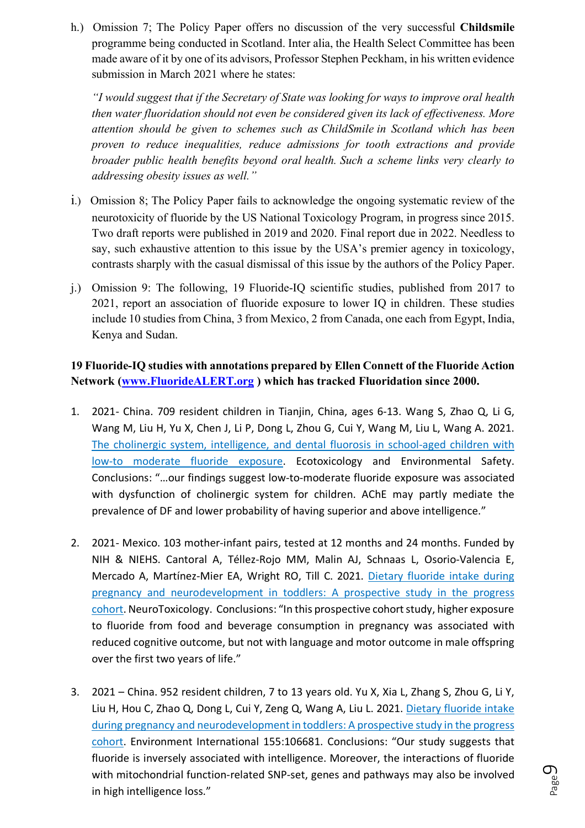h.) Omission 7; The Policy Paper offers no discussion of the very successful **Childsmile** programme being conducted in Scotland. Inter alia, the Health Select Committee has been made aware of it by one of its advisors, Professor Stephen Peckham, in his written evidence submission in March 2021 where he states:

*"I would suggest that if the Secretary of State was looking for ways to improve oral health then water fluoridation should not even be considered given its lack of effectiveness. More attention should be given to schemes such as ChildSmile in Scotland which has been proven to reduce inequalities, reduce admissions for tooth extractions and provide broader public health benefits beyond oral health. Such a scheme links very clearly to addressing obesity issues as well."*

- i.) Omission 8; The Policy Paper fails to acknowledge the ongoing systematic review of the neurotoxicity of fluoride by the US National Toxicology Program, in progress since 2015. Two draft reports were published in 2019 and 2020. Final report due in 2022. Needless to say, such exhaustive attention to this issue by the USA's premier agency in toxicology, contrasts sharply with the casual dismissal of this issue by the authors of the Policy Paper.
- j.) Omission 9: The following, 19 Fluoride-IQ scientific studies, published from 2017 to 2021, report an association of fluoride exposure to lower IQ in children. These studies include 10 studies from China, 3 from Mexico, 2 from Canada, one each from Egypt, India, Kenya and Sudan.

# **19 Fluoride-IQ studies with annotations prepared by Ellen Connett of the Fluoride Action Network (www.FluorideALERT.org ) which has tracked Fluoridation since 2000.**

- 1. 2021- China. 709 resident children in Tianjin, China, ages 6-13. Wang S, Zhao Q, Li G, Wang M, Liu H, Yu X, Chen J, Li P, Dong L, Zhou G, Cui Y, Wang M, Liu L, Wang A. 2021. The cholinergic system, intelligence, and dental fluorosis in school-aged children with low-to moderate fluoride exposure. Ecotoxicology and Environmental Safety. Conclusions: "…our findings suggest low-to-moderate fluoride exposure was associated with dysfunction of cholinergic system for children. AChE may partly mediate the prevalence of DF and lower probability of having superior and above intelligence."
- 2. 2021- Mexico. 103 mother-infant pairs, tested at 12 months and 24 months. Funded by NIH & NIEHS. Cantoral A, Téllez-Rojo MM, Malin AJ, Schnaas L, Osorio-Valencia E, Mercado A, Martínez-Mier EA, Wright RO, Till C. 2021. Dietary fluoride intake during pregnancy and neurodevelopment in toddlers: A prospective study in the progress cohort. NeuroToxicology. Conclusions: "In this prospective cohort study, higher exposure to fluoride from food and beverage consumption in pregnancy was associated with reduced cognitive outcome, but not with language and motor outcome in male offspring over the first two years of life."
- 3. 2021 China. 952 resident children, 7 to 13 years old. Yu X, Xia L, Zhang S, Zhou G, Li Y, Liu H, Hou C, Zhao Q, Dong L, Cui Y, Zeng Q, Wang A, Liu L. 2021. Dietary fluoride intake during pregnancy and neurodevelopment in toddlers: A prospective study in the progress cohort. Environment International 155:106681. Conclusions: "Our study suggests that fluoride is inversely associated with intelligence. Moreover, the interactions of fluoride with mitochondrial function-related SNP-set, genes and pathways may also be involved in high intelligence loss."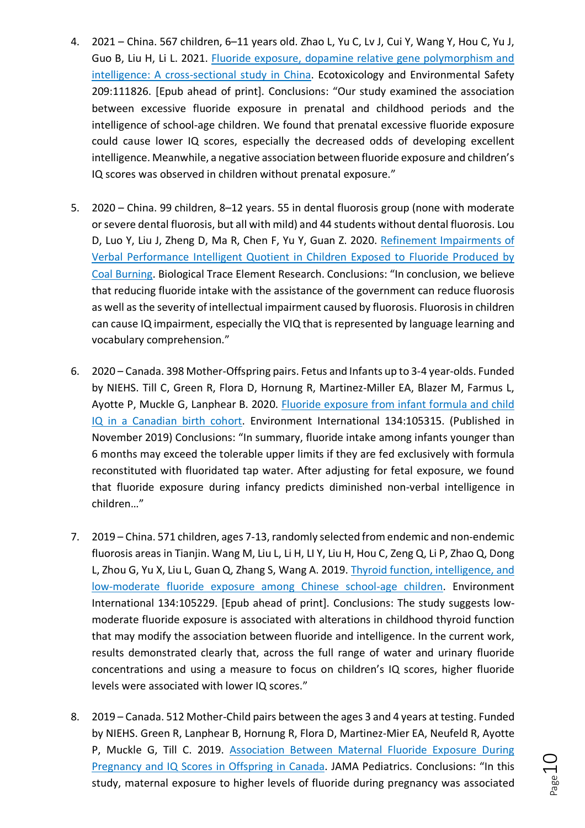- 4. 2021 China. 567 children, 6–11 years old. Zhao L, Yu C, Lv J, Cui Y, Wang Y, Hou C, Yu J, Guo B, Liu H, Li L. 2021. Fluoride exposure, dopamine relative gene polymorphism and intelligence: A cross-sectional study in China. Ecotoxicology and Environmental Safety 209:111826. [Epub ahead of print]. Conclusions: "Our study examined the association between excessive fluoride exposure in prenatal and childhood periods and the intelligence of school-age children. We found that prenatal excessive fluoride exposure could cause lower IQ scores, especially the decreased odds of developing excellent intelligence. Meanwhile, a negative association between fluoride exposure and children's IQ scores was observed in children without prenatal exposure."
- 5. 2020 China. 99 children, 8–12 years. 55 in dental fluorosis group (none with moderate or severe dental fluorosis, but all with mild) and 44 students without dental fluorosis. Lou D, Luo Y, Liu J, Zheng D, Ma R, Chen F, Yu Y, Guan Z. 2020. Refinement Impairments of Verbal Performance Intelligent Quotient in Children Exposed to Fluoride Produced by Coal Burning. Biological Trace Element Research. Conclusions: "In conclusion, we believe that reducing fluoride intake with the assistance of the government can reduce fluorosis as well as the severity of intellectual impairment caused by fluorosis. Fluorosis in children can cause IQ impairment, especially the VIQ that is represented by language learning and vocabulary comprehension."
- 6. 2020 Canada. 398 Mother-Offspring pairs. Fetus and Infants up to 3-4 year-olds. Funded by NIEHS. Till C, Green R, Flora D, Hornung R, Martinez-Miller EA, Blazer M, Farmus L, Ayotte P, Muckle G, Lanphear B. 2020. Fluoride exposure from infant formula and child IQ in a Canadian birth cohort. Environment International 134:105315. (Published in November 2019) Conclusions: "In summary, fluoride intake among infants younger than 6 months may exceed the tolerable upper limits if they are fed exclusively with formula reconstituted with fluoridated tap water. After adjusting for fetal exposure, we found that fluoride exposure during infancy predicts diminished non-verbal intelligence in children…"
- 7. 2019 China. 571 children, ages 7-13, randomly selected from endemic and non-endemic fluorosis areas in Tianjin. Wang M, Liu L, Li H, LI Y, Liu H, Hou C, Zeng Q, Li P, Zhao Q, Dong L, Zhou G, Yu X, Liu L, Guan Q, Zhang S, Wang A. 2019. Thyroid function, intelligence, and low-moderate fluoride exposure among Chinese school-age children. Environment International 134:105229. [Epub ahead of print]. Conclusions: The study suggests lowmoderate fluoride exposure is associated with alterations in childhood thyroid function that may modify the association between fluoride and intelligence. In the current work, results demonstrated clearly that, across the full range of water and urinary fluoride concentrations and using a measure to focus on children's IQ scores, higher fluoride levels were associated with lower IQ scores."
- 8. 2019 Canada. 512 Mother-Child pairs between the ages 3 and 4 years at testing. Funded by NIEHS. Green R, Lanphear B, Hornung R, Flora D, Martinez-Mier EA, Neufeld R, Ayotte P, Muckle G, Till C. 2019. Association Between Maternal Fluoride Exposure During Pregnancy and IQ Scores in Offspring in Canada. JAMA Pediatrics. Conclusions: "In this study, maternal exposure to higher levels of fluoride during pregnancy was associated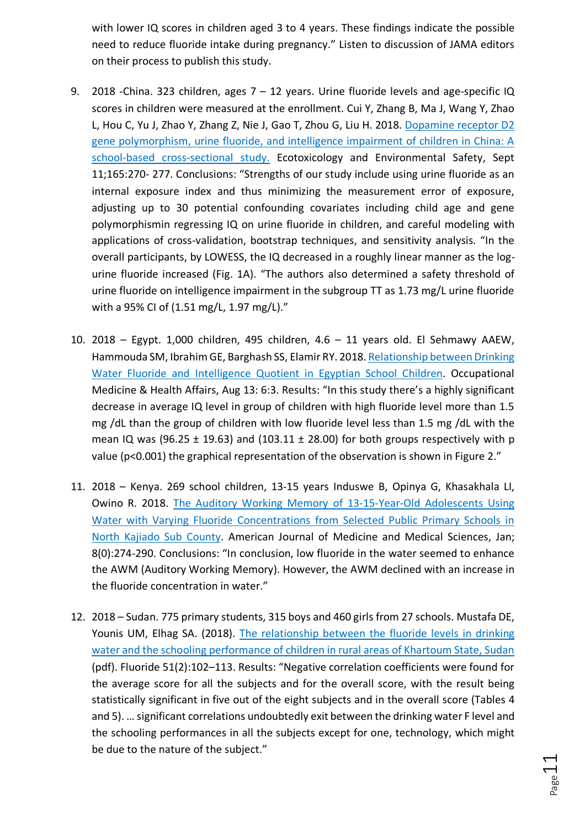with lower IQ scores in children aged 3 to 4 years. These findings indicate the possible need to reduce fluoride intake during pregnancy." Listen to discussion of JAMA editors on their process to publish this study.

- 9. 2018 -China. 323 children, ages 7 12 years. Urine fluoride levels and age-specific IQ scores in children were measured at the enrollment. Cui Y, Zhang B, Ma J, Wang Y, Zhao L, Hou C, Yu J, Zhao Y, Zhang Z, Nie J, Gao T, Zhou G, Liu H. 2018. Dopamine receptor D2 gene polymorphism, urine fluoride, and intelligence impairment of children in China: A school-based cross-sectional study. Ecotoxicology and Environmental Safety, Sept 11;165:270- 277. Conclusions: "Strengths of our study include using urine fluoride as an internal exposure index and thus minimizing the measurement error of exposure, adjusting up to 30 potential confounding covariates including child age and gene polymorphismin regressing IQ on urine fluoride in children, and careful modeling with applications of cross-validation, bootstrap techniques, and sensitivity analysis. "In the overall participants, by LOWESS, the IQ decreased in a roughly linear manner as the logurine fluoride increased (Fig. 1A). "The authors also determined a safety threshold of urine fluoride on intelligence impairment in the subgroup TT as 1.73 mg/L urine fluoride with a 95% CI of (1.51 mg/L, 1.97 mg/L)."
- 10. 2018 Egypt. 1,000 children, 495 children, 4.6 11 years old. El Sehmawy AAEW, Hammouda SM, Ibrahim GE, Barghash SS, Elamir RY. 2018. Relationship between Drinking Water Fluoride and Intelligence Quotient in Egyptian School Children. Occupational Medicine & Health Affairs, Aug 13: 6:3. Results: "In this study there's a highly significant decrease in average IQ level in group of children with high fluoride level more than 1.5 mg /dL than the group of children with low fluoride level less than 1.5 mg /dL with the mean IQ was (96.25  $\pm$  19.63) and (103.11  $\pm$  28.00) for both groups respectively with p value (p<0.001) the graphical representation of the observation is shown in Figure 2."
- 11. 2018 Kenya. 269 school children, 13-15 years Induswe B, Opinya G, Khasakhala LI, Owino R. 2018. The Auditory Working Memory of 13-15-Year-Old Adolescents Using Water with Varying Fluoride Concentrations from Selected Public Primary Schools in North Kajiado Sub County. American Journal of Medicine and Medical Sciences, Jan; 8(0):274-290. Conclusions: "In conclusion, low fluoride in the water seemed to enhance the AWM (Auditory Working Memory). However, the AWM declined with an increase in the fluoride concentration in water."
- 12. 2018 Sudan. 775 primary students, 315 boys and 460 girls from 27 schools. Mustafa DE, Younis UM, Elhag SA. (2018). The relationship between the fluoride levels in drinking water and the schooling performance of children in rural areas of Khartoum State, Sudan (pdf). Fluoride 51(2):102–113. Results: "Negative correlation coefficients were found for the average score for all the subjects and for the overall score, with the result being statistically significant in five out of the eight subjects and in the overall score (Tables 4 and 5). … significant correlations undoubtedly exit between the drinking water F level and the schooling performances in all the subjects except for one, technology, which might be due to the nature of the subject."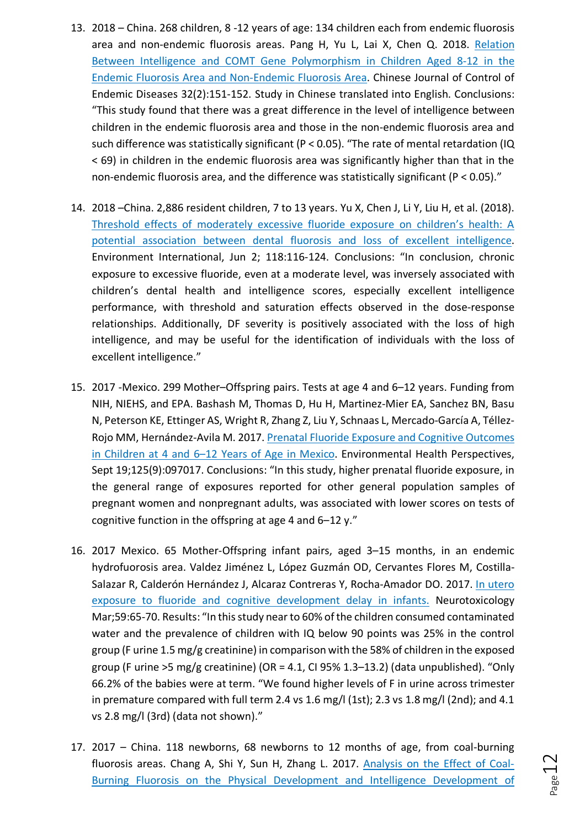- 13. 2018 China. 268 children, 8 -12 years of age: 134 children each from endemic fluorosis area and non-endemic fluorosis areas. Pang H, Yu L, Lai X, Chen Q. 2018. Relation Between Intelligence and COMT Gene Polymorphism in Children Aged 8-12 in the Endemic Fluorosis Area and Non-Endemic Fluorosis Area. Chinese Journal of Control of Endemic Diseases 32(2):151-152. Study in Chinese translated into English. Conclusions: "This study found that there was a great difference in the level of intelligence between children in the endemic fluorosis area and those in the non-endemic fluorosis area and such difference was statistically significant ( $P < 0.05$ ). "The rate of mental retardation (IQ < 69) in children in the endemic fluorosis area was significantly higher than that in the non-endemic fluorosis area, and the difference was statistically significant (P < 0.05)."
- 14. 2018 –China. 2,886 resident children, 7 to 13 years. Yu X, Chen J, Li Y, Liu H, et al. (2018). Threshold effects of moderately excessive fluoride exposure on children's health: A potential association between dental fluorosis and loss of excellent intelligence. Environment International, Jun 2; 118:116-124. Conclusions: "In conclusion, chronic exposure to excessive fluoride, even at a moderate level, was inversely associated with children's dental health and intelligence scores, especially excellent intelligence performance, with threshold and saturation effects observed in the dose-response relationships. Additionally, DF severity is positively associated with the loss of high intelligence, and may be useful for the identification of individuals with the loss of excellent intelligence."
- 15. 2017 -Mexico. 299 Mother–Offspring pairs. Tests at age 4 and 6–12 years. Funding from NIH, NIEHS, and EPA. Bashash M, Thomas D, Hu H, Martinez-Mier EA, Sanchez BN, Basu N, Peterson KE, Ettinger AS, Wright R, Zhang Z, Liu Y, Schnaas L, Mercado-García A, Téllez-Rojo MM, Hernández-Avila M. 2017. Prenatal Fluoride Exposure and Cognitive Outcomes in Children at 4 and 6–12 Years of Age in Mexico. Environmental Health Perspectives, Sept 19;125(9):097017. Conclusions: "In this study, higher prenatal fluoride exposure, in the general range of exposures reported for other general population samples of pregnant women and nonpregnant adults, was associated with lower scores on tests of cognitive function in the offspring at age 4 and 6–12 y."
- 16. 2017 Mexico. 65 Mother-Offspring infant pairs, aged 3–15 months, in an endemic hydrofuorosis area. Valdez Jiménez L, López Guzmán OD, Cervantes Flores M, Costilla-Salazar R, Calderón Hernández J, Alcaraz Contreras Y, Rocha-Amador DO. 2017. In utero exposure to fluoride and cognitive development delay in infants. Neurotoxicology Mar;59:65-70. Results: "In this study near to 60% of the children consumed contaminated water and the prevalence of children with IQ below 90 points was 25% in the control group (F urine 1.5 mg/g creatinine) in comparison with the 58% of children in the exposed group (F urine >5 mg/g creatinine) (OR = 4.1, CI 95% 1.3–13.2) (data unpublished). "Only 66.2% of the babies were at term. "We found higher levels of F in urine across trimester in premature compared with full term 2.4 vs 1.6 mg/l (1st); 2.3 vs 1.8 mg/l (2nd); and 4.1 vs 2.8 mg/l (3rd) (data not shown)."
- 17. 2017 China. 118 newborns, 68 newborns to 12 months of age, from coal-burning fluorosis areas. Chang A, Shi Y, Sun H, Zhang L. 2017. Analysis on the Effect of Coal-Burning Fluorosis on the Physical Development and Intelligence Development of